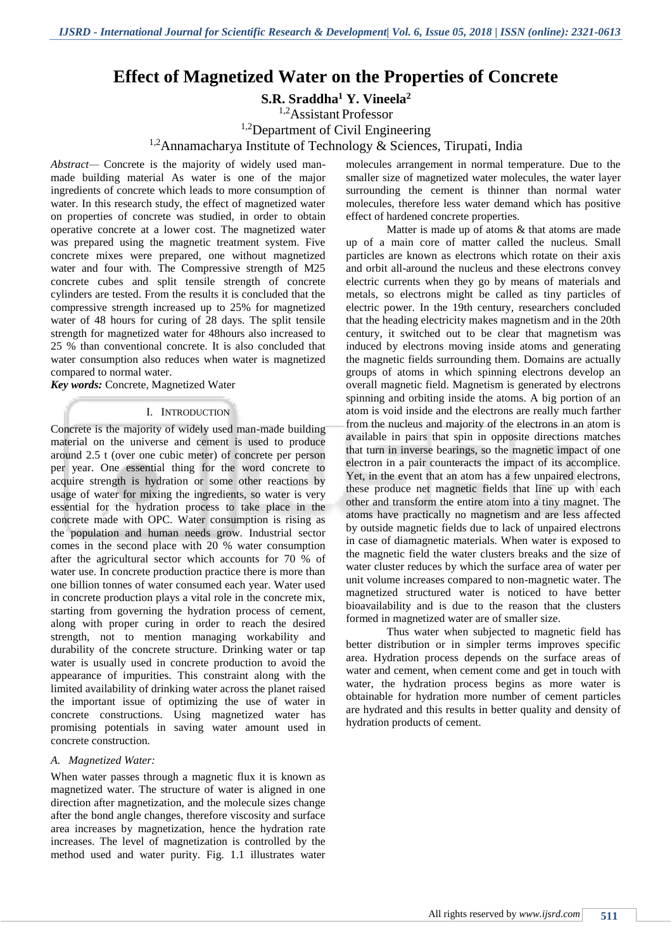# **Effect of Magnetized Water on the Properties of Concrete**

**S.R. Sraddha<sup>1</sup> Y. Vineela<sup>2</sup>**

<sup>1,2</sup>Assistant Professor

<sup>1,2</sup>Department of Civil Engineering

<sup>1,2</sup>Annamacharya Institute of Technology & Sciences, Tirupati, India

*Abstract—* Concrete is the majority of widely used manmade building material As water is one of the major ingredients of concrete which leads to more consumption of water. In this research study, the effect of magnetized water on properties of concrete was studied, in order to obtain operative concrete at a lower cost. The magnetized water was prepared using the magnetic treatment system. Five concrete mixes were prepared, one without magnetized water and four with. The Compressive strength of M25 concrete cubes and split tensile strength of concrete cylinders are tested. From the results it is concluded that the compressive strength increased up to 25% for magnetized water of 48 hours for curing of 28 days. The split tensile strength for magnetized water for 48hours also increased to 25 % than conventional concrete. It is also concluded that water consumption also reduces when water is magnetized compared to normal water.

*Key words:* Concrete, Magnetized Water

#### I. INTRODUCTION

Concrete is the majority of widely used man-made building material on the universe and cement is used to produce around 2.5 t (over one cubic meter) of concrete per person per year. One essential thing for the word concrete to acquire strength is hydration or some other reactions by usage of water for mixing the ingredients, so water is very essential for the hydration process to take place in the concrete made with OPC. Water consumption is rising as the population and human needs grow. Industrial sector comes in the second place with 20 % water consumption after the agricultural sector which accounts for 70 % of water use. In concrete production practice there is more than one billion tonnes of water consumed each year. Water used in concrete production plays a vital role in the concrete mix, starting from governing the hydration process of cement, along with proper curing in order to reach the desired strength, not to mention managing workability and durability of the concrete structure. Drinking water or tap water is usually used in concrete production to avoid the appearance of impurities. This constraint along with the limited availability of drinking water across the planet raised the important issue of optimizing the use of water in concrete constructions. Using magnetized water has promising potentials in saving water amount used in concrete construction.

#### *A. Magnetized Water:*

When water passes through a magnetic flux it is known as magnetized water. The structure of water is aligned in one direction after magnetization, and the molecule sizes change after the bond angle changes, therefore viscosity and surface area increases by magnetization, hence the hydration rate increases. The level of magnetization is controlled by the method used and water purity. Fig. 1.1 illustrates water

molecules arrangement in normal temperature. Due to the smaller size of magnetized water molecules, the water layer surrounding the cement is thinner than normal water molecules, therefore less water demand which has positive effect of hardened concrete properties.

Matter is made up of atoms & that atoms are made up of a main core of matter called the nucleus. Small particles are known as electrons which rotate on their axis and orbit all-around the nucleus and these electrons convey electric currents when they go by means of materials and metals, so electrons might be called as tiny particles of electric power. In the 19th century, researchers concluded that the heading electricity makes magnetism and in the 20th century, it switched out to be clear that magnetism was induced by electrons moving inside atoms and generating the magnetic fields surrounding them. Domains are actually groups of atoms in which spinning electrons develop an overall magnetic field. Magnetism is generated by electrons spinning and orbiting inside the atoms. A big portion of an atom is void inside and the electrons are really much farther from the nucleus and majority of the electrons in an atom is available in pairs that spin in opposite directions matches that turn in inverse bearings, so the magnetic impact of one electron in a pair counteracts the impact of its accomplice. Yet, in the event that an atom has a few unpaired electrons, these produce net magnetic fields that line up with each other and transform the entire atom into a tiny magnet. The atoms have practically no magnetism and are less affected by outside magnetic fields due to lack of unpaired electrons in case of diamagnetic materials. When water is exposed to the magnetic field the water clusters breaks and the size of water cluster reduces by which the surface area of water per unit volume increases compared to non-magnetic water. The magnetized structured water is noticed to have better bioavailability and is due to the reason that the clusters formed in magnetized water are of smaller size.

Thus water when subjected to magnetic field has better distribution or in simpler terms improves specific area. Hydration process depends on the surface areas of water and cement, when cement come and get in touch with water, the hydration process begins as more water is obtainable for hydration more number of cement particles are hydrated and this results in better quality and density of hydration products of cement.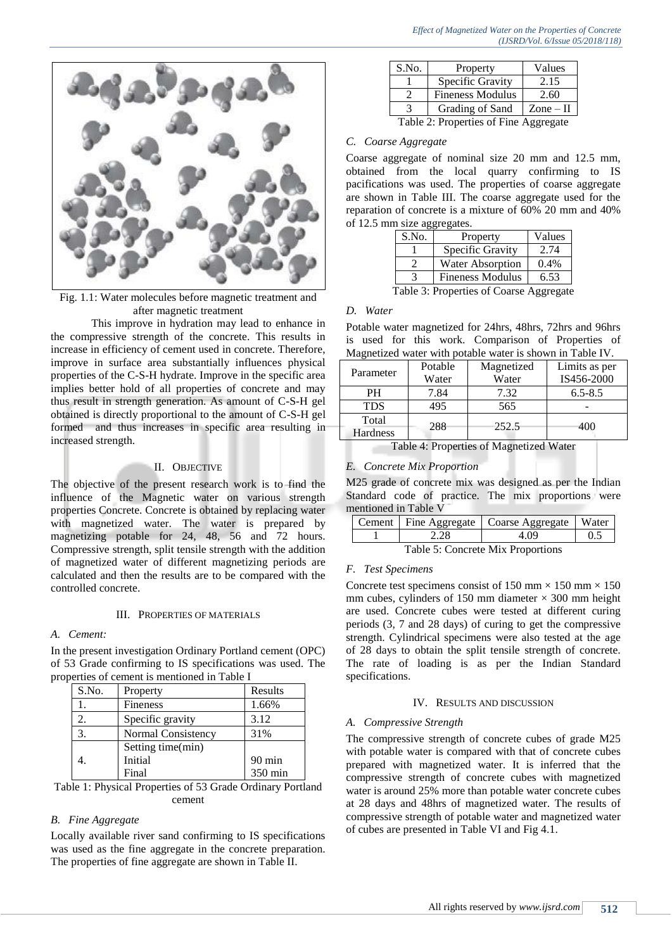

Fig. 1.1: Water molecules before magnetic treatment and after magnetic treatment

This improve in hydration may lead to enhance in the compressive strength of the concrete. This results in increase in efficiency of cement used in concrete. Therefore, improve in surface area substantially influences physical properties of the C-S-H hydrate. Improve in the specific area implies better hold of all properties of concrete and may thus result in strength generation. As amount of C-S-H gel obtained is directly proportional to the amount of C-S-H gel formed and thus increases in specific area resulting in increased strength.

### II. OBJECTIVE

The objective of the present research work is to find the influence of the Magnetic water on various strength properties Concrete. Concrete is obtained by replacing water with magnetized water. The water is prepared by magnetizing potable for 24, 48, 56 and 72 hours. Compressive strength, split tensile strength with the addition of magnetized water of different magnetizing periods are calculated and then the results are to be compared with the controlled concrete.

## III. PROPERTIES OF MATERIALS

## *A. Cement:*

In the present investigation Ordinary Portland cement (OPC) of 53 Grade confirming to IS specifications was used. The properties of cement is mentioned in Table I

| S.No. | Property           | Results          |
|-------|--------------------|------------------|
|       | <b>Fineness</b>    | 1.66%            |
| 2.    | Specific gravity   | 3.12             |
| 3.    | Normal Consistency | 31%              |
|       | Setting time(min)  |                  |
|       | Initial            | $90 \text{ min}$ |
|       | Final              | 350 min          |

Table 1: Physical Properties of 53 Grade Ordinary Portland cement

## *B. Fine Aggregate*

Locally available river sand confirming to IS specifications was used as the fine aggregate in the concrete preparation. The properties of fine aggregate are shown in Table II.

| S.No.                                 | Property                | Values                    |
|---------------------------------------|-------------------------|---------------------------|
|                                       | Specific Gravity        | 2.15                      |
|                                       | <b>Fineness Modulus</b> | 2.60                      |
| 3                                     | Grading of Sand         | $\text{Zone} - \text{II}$ |
| Table 2: Properties of Fine Aggregate |                         |                           |

## *C. Coarse Aggregate*

Coarse aggregate of nominal size 20 mm and 12.5 mm, obtained from the local quarry confirming to IS pacifications was used. The properties of coarse aggregate are shown in Table III. The coarse aggregate used for the reparation of concrete is a mixture of 60% 20 mm and 40% of 12.5 mm size aggregates.

| ັ     |                                         |        |  |
|-------|-----------------------------------------|--------|--|
| S.No. | Property                                | Values |  |
|       | Specific Gravity                        | 2.74   |  |
|       | <b>Water Absorption</b>                 | 0.4%   |  |
|       | <b>Fineness Modulus</b>                 | 6.53   |  |
|       | Table 3: Properties of Coarse Aggregate |        |  |

#### *D. Water*

Potable water magnetized for 24hrs, 48hrs, 72hrs and 96hrs is used for this work. Comparison of Properties of Magnetized water with potable water is shown in Table IV.

| Parameter       | Potable | Magnetized | Limits as per |
|-----------------|---------|------------|---------------|
|                 | Water   | Water      | IS456-2000    |
| PН              | 7.84    | 7.32       | $6.5 - 8.5$   |
| <b>TDS</b>      | 495     | 565        |               |
| Total           | 288     | 252.5      | 400           |
| <b>Hardness</b> |         |            |               |

Table 4: Properties of Magnetized Water

## *E. Concrete Mix Proportion*

M25 grade of concrete mix was designed as per the Indian Standard code of practice. The mix proportions were mentioned in Table V

|                                   |      | Cement   Fine Aggregate   Coarse Aggregate   Water |     |
|-----------------------------------|------|----------------------------------------------------|-----|
|                                   | 2.28 | 4.09                                               | 0.5 |
| Table 5: Concrete Mix Proportions |      |                                                    |     |

## *F. Test Specimens*

Concrete test specimens consist of 150 mm  $\times$  150 mm  $\times$  150 mm cubes, cylinders of 150 mm diameter  $\times$  300 mm height are used. Concrete cubes were tested at different curing periods (3, 7 and 28 days) of curing to get the compressive strength. Cylindrical specimens were also tested at the age of 28 days to obtain the split tensile strength of concrete. The rate of loading is as per the Indian Standard specifications.

#### IV. RESULTS AND DISCUSSION

#### *A. Compressive Strength*

The compressive strength of concrete cubes of grade M25 with potable water is compared with that of concrete cubes prepared with magnetized water. It is inferred that the compressive strength of concrete cubes with magnetized water is around 25% more than potable water concrete cubes at 28 days and 48hrs of magnetized water. The results of compressive strength of potable water and magnetized water of cubes are presented in Table VI and Fig 4.1.